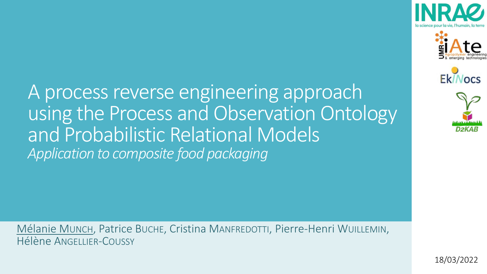

Mélanie MUNCH, Patrice BUCHE, Cristina MANFREDOTTI, Pierre-Henri WUILLEMIN, Hélène ANGELLIER-COUSSY









18/03/2022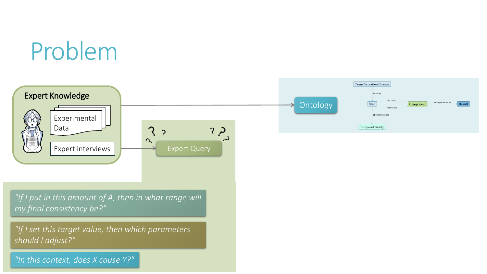#### Problem

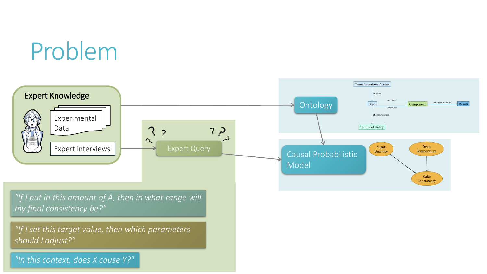#### Problem

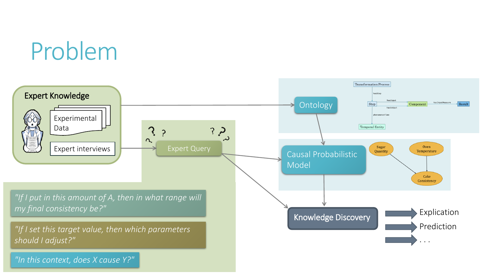#### Problem

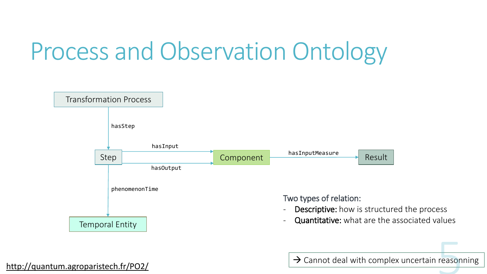## Process and Observation Ontology



<http://quantum.agroparistech.fr/PO2/><br>http://quantum.agroparistech.fr/PO2/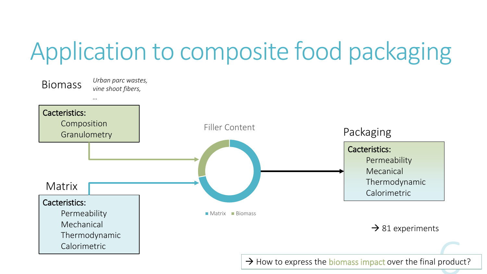# Application to composite food packaging

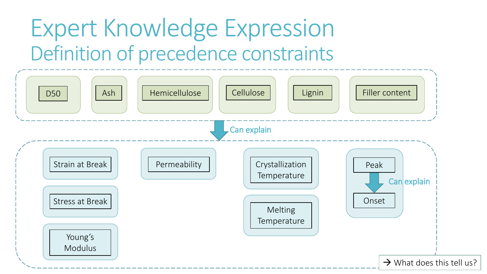#### Expert Knowledge Expression Definition of precedence constraints

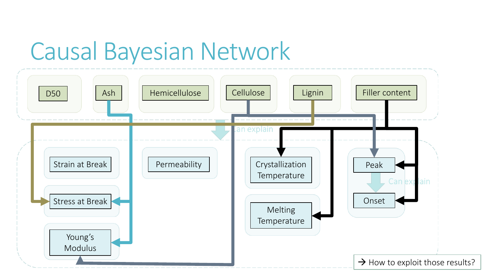#### Causal Bayesian Network

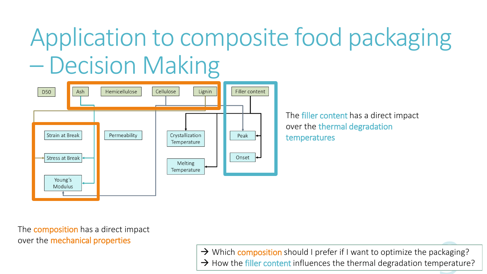# Application to composite food packaging – Decision Making



The filler content has a direct impact over the thermal degradation temperatures

The **composition** has a direct impact over the mechanical properties

> → Which **composition** should I prefer if I want to optimize the packaging?  $\rightarrow$  How the filler content influences the thermal degradation temperature?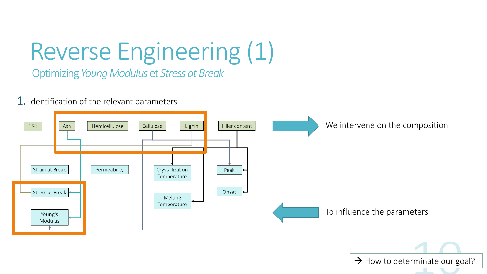# Reverse Engineering (1)

Optimizing *Young Modulus* et *Stress at Break*

#### **1.** Identification of the relevant parameters

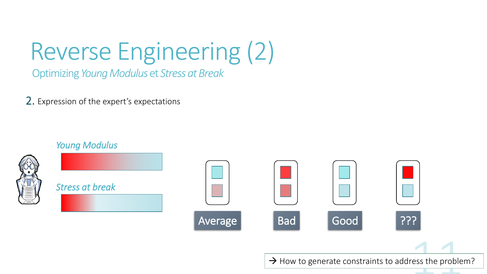# Reverse Engineering (2)

Optimizing *Young Modulus* et *Stress at Break*

2. Expression of the expert's expectations

*Young Modulus*

*Stress at break*



| Average | <b>Bad</b> | Good                                                              | ְ?ְ?ְ |  |
|---------|------------|-------------------------------------------------------------------|-------|--|
|         |            |                                                                   |       |  |
|         |            | $\rightarrow$ How to generate constraints to address the problem? |       |  |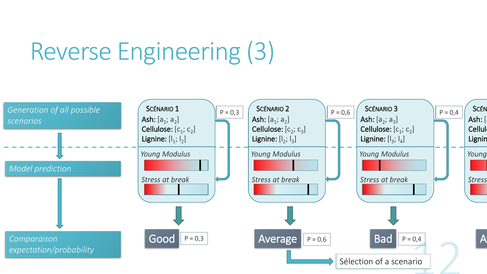# Reverse Engineering (3)

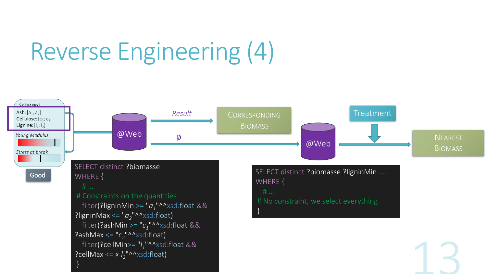# Reverse Engineering (4)

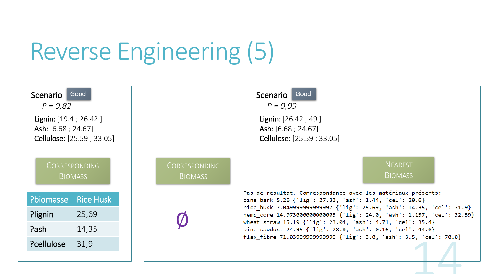### Reverse Engineering (5)